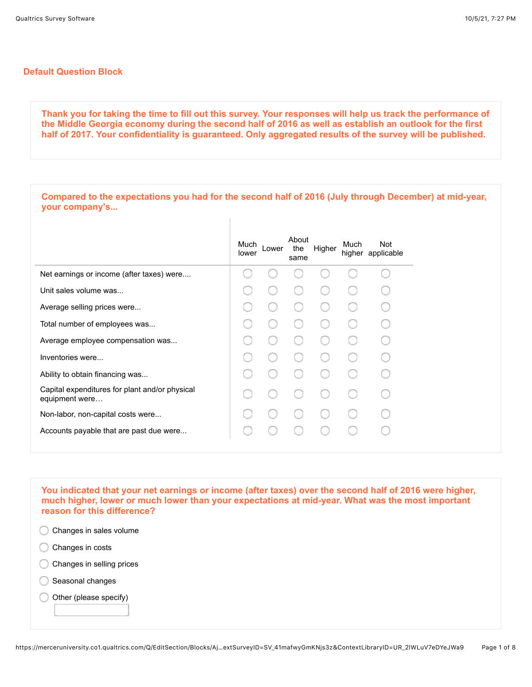## **Default Question Block**

**your company's...**

**Thank you for taking the time to fill out this survey. Your responses will help us track the performance of the Middle Georgia economy during the second half of 2016 as well as establish an outlook for the first half of 2017. Your confidentiality is guaranteed. Only aggregated results of the survey will be published.**

**Compared to the expectations you had for the second half of 2016 (July through December) at mid-year,**

|                                                                  | Much<br>lower | Lower | About<br>the<br>same | Higher | Much | Not<br>higher applicable |
|------------------------------------------------------------------|---------------|-------|----------------------|--------|------|--------------------------|
| Net earnings or income (after taxes) were                        |               |       |                      |        |      |                          |
| Unit sales volume was                                            |               |       |                      |        |      |                          |
| Average selling prices were                                      |               |       |                      |        |      |                          |
| Total number of employees was                                    |               |       |                      |        |      |                          |
| Average employee compensation was                                |               |       |                      |        |      |                          |
| Inventories were                                                 |               |       |                      |        |      |                          |
| Ability to obtain financing was                                  |               |       |                      |        |      |                          |
| Capital expenditures for plant and/or physical<br>equipment were |               |       |                      |        |      |                          |
| Non-labor, non-capital costs were                                |               |       |                      |        |      |                          |
| Accounts payable that are past due were                          |               |       |                      |        |      |                          |

**You indicated that your net earnings or income (after taxes) over the second half of 2016 were higher, much higher, lower or much lower than your expectations at mid-year. What was the most important reason for this difference?** 

Changes in sales volume

- Changes in costs
- Changes in selling prices
- Seasonal changes
- Other (please specify)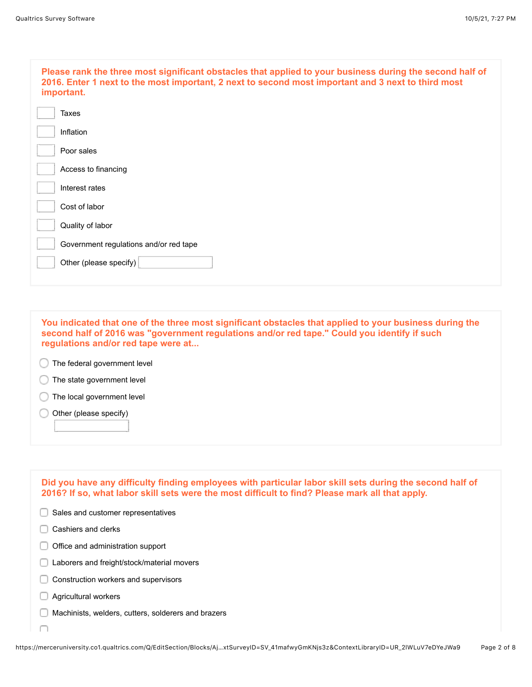| Please rank the three most significant obstacles that applied to your business during the second half of<br>2016. Enter 1 next to the most important, 2 next to second most important and 3 next to third most<br>important. |
|------------------------------------------------------------------------------------------------------------------------------------------------------------------------------------------------------------------------------|
| Taxes                                                                                                                                                                                                                        |
| Inflation                                                                                                                                                                                                                    |
| Poor sales                                                                                                                                                                                                                   |
| Access to financing                                                                                                                                                                                                          |
| Interest rates                                                                                                                                                                                                               |
| Cost of labor                                                                                                                                                                                                                |
| Quality of labor                                                                                                                                                                                                             |
| Government regulations and/or red tape                                                                                                                                                                                       |
| Other (please specify)                                                                                                                                                                                                       |
|                                                                                                                                                                                                                              |

**You indicated that one of the three most significant obstacles that applied to your business during the second half of 2016 was "government regulations and/or red tape." Could you identify if such regulations and/or red tape were at...**

**The federal government level** 

 $\bigcirc$  The state government level

The local government level

Other (please specify)

**Did you have any difficulty finding employees with particular labor skill sets during the second half of 2016? If so, what labor skill sets were the most difficult to find? Please mark all that apply.**Sales and customer representatives  $\Box$  Cashiers and clerks Office and administration support Laborers and freight/stock/material movers Construction workers and supervisors **Agricultural workers Machinists, welders, cutters, solderers and brazers**  $\Box$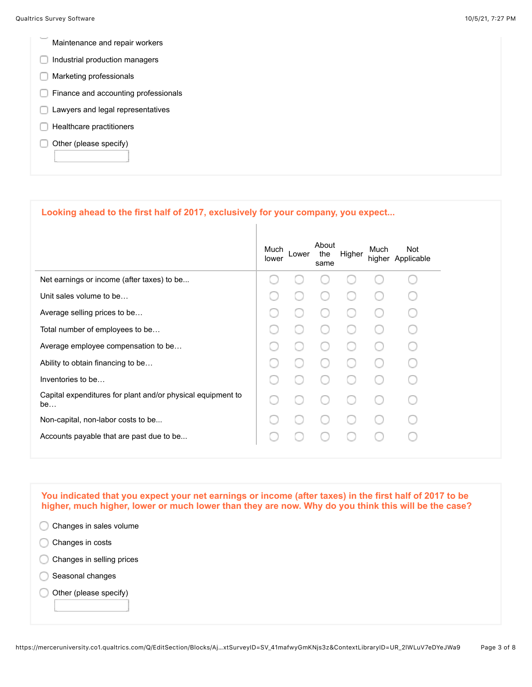- Maintenance and repair workers
- $\Box$  Industrial production managers
- **Marketing professionals**
- Finance and accounting professionals
- **Lawyers and legal representatives**
- $\Box$  Healthcare practitioners
- Other (please specify)

## **Looking ahead to the first half of 2017, exclusively for your company, you expect...**

|                                                                   | Much<br>lower | Lower | About<br>the<br>same | Higher | Much | Not<br>higher Applicable |
|-------------------------------------------------------------------|---------------|-------|----------------------|--------|------|--------------------------|
| Net earnings or income (after taxes) to be                        |               |       |                      |        |      |                          |
| Unit sales volume to be                                           |               |       |                      |        |      |                          |
| Average selling prices to be                                      |               |       |                      |        |      |                          |
| Total number of employees to be                                   |               |       |                      |        |      |                          |
| Average employee compensation to be                               |               |       |                      |        |      |                          |
| Ability to obtain financing to be                                 |               |       |                      |        |      |                          |
| Inventories to be                                                 |               |       |                      |        |      |                          |
| Capital expenditures for plant and/or physical equipment to<br>be |               |       |                      |        |      |                          |
| Non-capital, non-labor costs to be                                |               |       |                      |        |      |                          |
| Accounts payable that are past due to be                          |               |       |                      |        |      |                          |
|                                                                   |               |       |                      |        |      |                          |

**You indicated that you expect your net earnings or income (after taxes) in the first half of 2017 to be higher, much higher, lower or much lower than they are now. Why do you think this will be the case?** 

- C Changes in sales volume
- Changes in costs
- C Changes in selling prices
- Seasonal changes
- Other (please specify)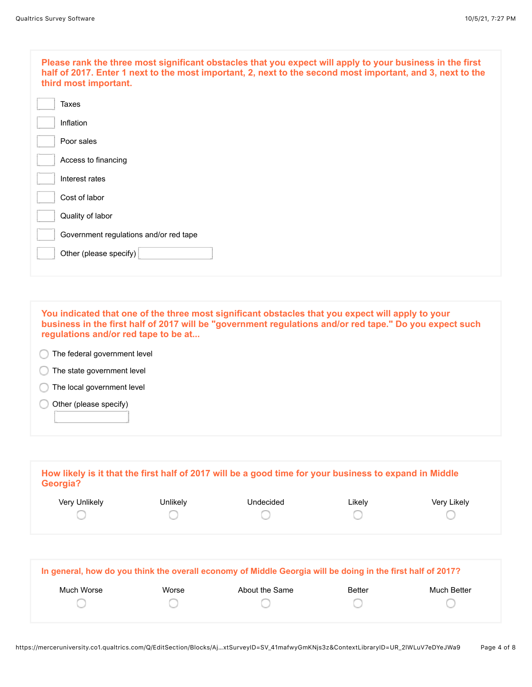| Please rank the three most significant obstacles that you expect will apply to your business in the first<br>half of 2017. Enter 1 next to the most important, 2, next to the second most important, and 3, next to the<br>third most important. |
|--------------------------------------------------------------------------------------------------------------------------------------------------------------------------------------------------------------------------------------------------|
| Taxes                                                                                                                                                                                                                                            |
| Inflation                                                                                                                                                                                                                                        |
| Poor sales                                                                                                                                                                                                                                       |
| Access to financing                                                                                                                                                                                                                              |
| Interest rates                                                                                                                                                                                                                                   |
| Cost of labor                                                                                                                                                                                                                                    |
| Quality of labor                                                                                                                                                                                                                                 |
| Government regulations and/or red tape                                                                                                                                                                                                           |
| Other (please specify)                                                                                                                                                                                                                           |
|                                                                                                                                                                                                                                                  |

**You indicated that one of the three most significant obstacles that you expect will apply to your business in the first half of 2017 will be "government regulations and/or red tape." Do you expect such regulations and/or red tape to be at...**

- **The federal government level**
- **The state government level**
- The local government level
- Other (please specify) C

| Georgia?      |          | How likely is it that the first half of 2017 will be a good time for your business to expand in Middle |        |             |
|---------------|----------|--------------------------------------------------------------------------------------------------------|--------|-------------|
| Very Unlikely | Unlikely | Undecided                                                                                              | Likely | Very Likely |
|               |          |                                                                                                        |        |             |

| Worse | About the Same | <b>Better</b> | Much Better |
|-------|----------------|---------------|-------------|
|       |                |               |             |
|       |                |               |             |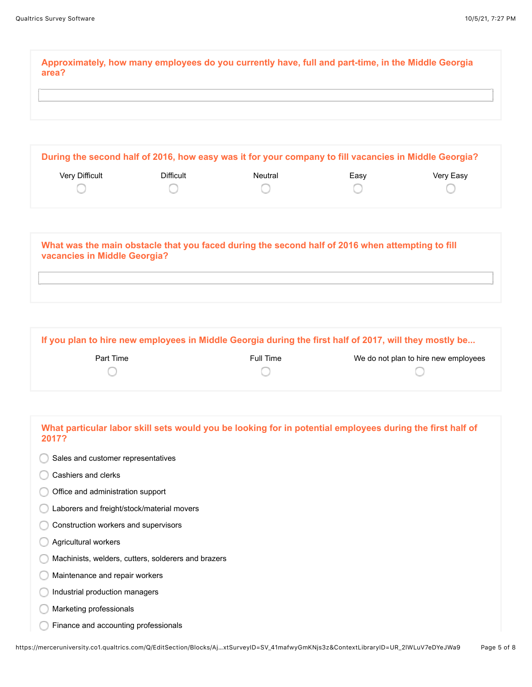**Approximately, how many employees do you currently have, full and part-time, in the Middle Georgia area?**

**During the second half of 2016, how easy was it for your company to fill vacancies in Middle Georgia?** Very Difficult **Difficult** Difficult Neutral **Neutral Easy New York** Very Easy ∩ ∩ ∩ ∩ ∩

| What was the main obstacle that you faced during the second half of 2016 when attempting to fill<br>vacancies in Middle Georgia? |  |
|----------------------------------------------------------------------------------------------------------------------------------|--|
|                                                                                                                                  |  |

**If you plan to hire new employees in Middle Georgia during the first half of 2017, will they mostly be...** Part Time **Full Time** Full Time We do not plan to hire new employees ∩ O

| What particular labor skill sets would you be looking for in potential employees during the first half of<br>2017? |
|--------------------------------------------------------------------------------------------------------------------|
| Sales and customer representatives                                                                                 |
| Cashiers and clerks                                                                                                |
| Office and administration support                                                                                  |
| Laborers and freight/stock/material movers                                                                         |
| Construction workers and supervisors                                                                               |
| Agricultural workers                                                                                               |
| Machinists, welders, cutters, solderers and brazers                                                                |
| Maintenance and repair workers                                                                                     |
| Industrial production managers                                                                                     |
| Marketing professionals                                                                                            |
| Finance and accounting professionals                                                                               |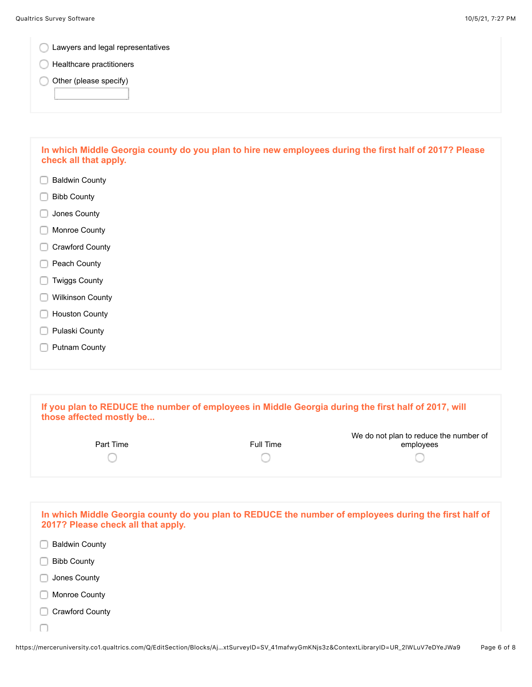| Lawyers and legal representatives                                                                                               |
|---------------------------------------------------------------------------------------------------------------------------------|
| Healthcare practitioners                                                                                                        |
| Other (please specify)                                                                                                          |
|                                                                                                                                 |
| In which Middle Georgia county do you plan to hire new employees during the first half of 2017? Please<br>check all that apply. |
| <b>Baldwin County</b>                                                                                                           |
| <b>Bibb County</b>                                                                                                              |
| Jones County                                                                                                                    |
| Monroe County                                                                                                                   |
| Crawford County                                                                                                                 |
| Peach County                                                                                                                    |
| <b>Twiggs County</b>                                                                                                            |
| <b>Wilkinson County</b>                                                                                                         |
| <b>Houston County</b>                                                                                                           |
| Pulaski County                                                                                                                  |
| <b>Putnam County</b>                                                                                                            |

| If you plan to REDUCE the number of employees in Middle Georgia during the first half of 2017, will<br>those affected mostly be             |           |                                                     |  |  |
|---------------------------------------------------------------------------------------------------------------------------------------------|-----------|-----------------------------------------------------|--|--|
| Part Time                                                                                                                                   | Full Time | We do not plan to reduce the number of<br>employees |  |  |
|                                                                                                                                             |           |                                                     |  |  |
| In which Middle Georgia county do you plan to REDUCE the number of employees during the first half of<br>2017? Please check all that apply. |           |                                                     |  |  |
| <b>Baldwin County</b>                                                                                                                       |           |                                                     |  |  |

Bibb County

**Jones County** 

**Monroe County** 

Crawford County

∩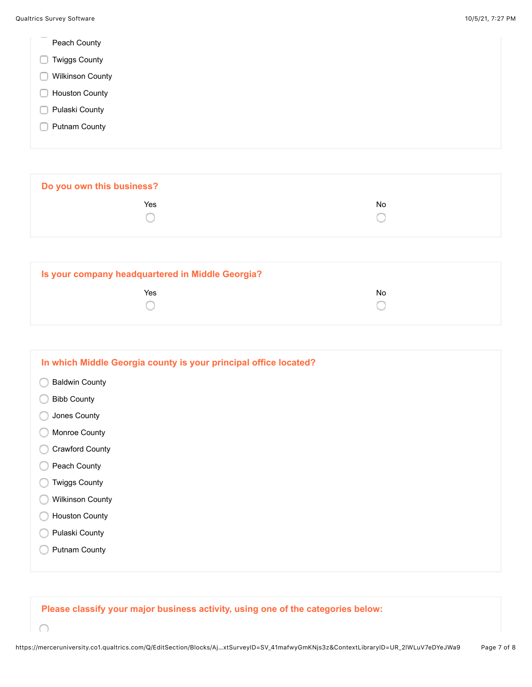|  | Peach County |
|--|--------------|
|--|--------------|

- **Twiggs County**
- **Wilkinson County**
- **Houston County**
- Pulaski County
- **Putnam County**

∩

**Do you own this business? The Second Contract of the Second Contract Contract Contract Contract Contract Contract Contract Contract Contract Contract Contract Contract Contract Contract Contract Contract Contract Contract Contract Contract Contrac** 0 O

| Is your company headquartered in Middle Georgia? |     |
|--------------------------------------------------|-----|
| Yes                                              | No. |
|                                                  |     |
|                                                  |     |

| In which Middle Georgia county is your principal office located? |
|------------------------------------------------------------------|
| <b>Baldwin County</b>                                            |
| <b>Bibb County</b>                                               |
| Jones County                                                     |
| Monroe County                                                    |
| <b>Crawford County</b>                                           |
| Peach County                                                     |
| <b>Twiggs County</b>                                             |
| Wilkinson County                                                 |
| <b>Houston County</b>                                            |
| Pulaski County                                                   |
| <b>Putnam County</b>                                             |
|                                                                  |

**Please classify your major business activity, using one of the categories below:**